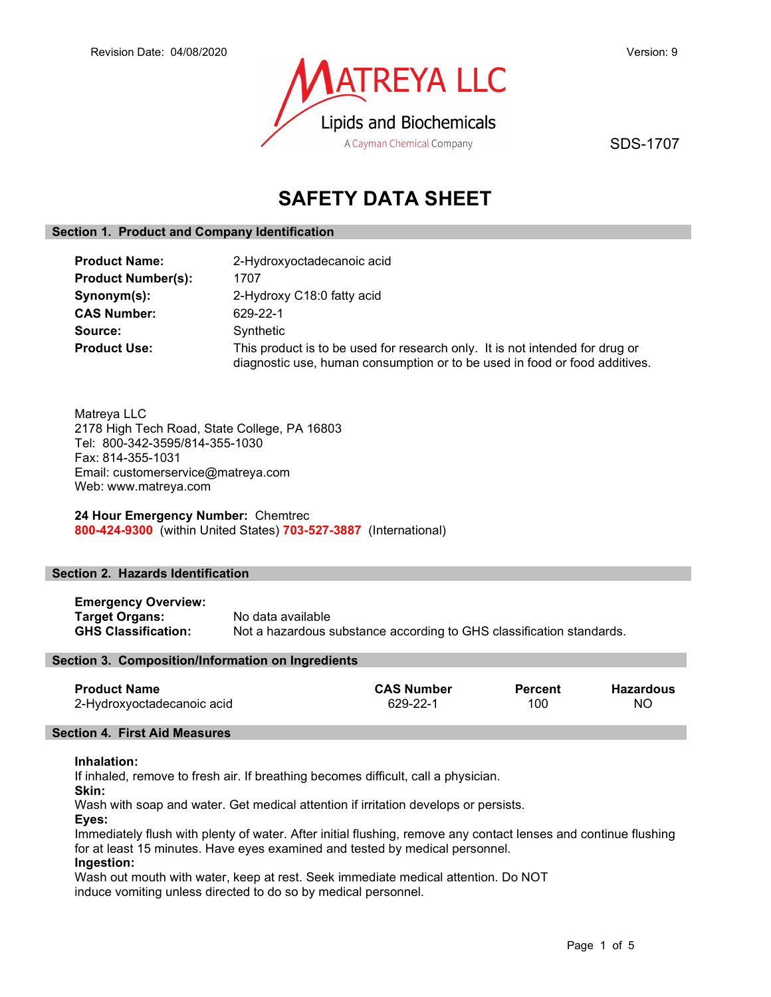

SDS-1707

# SAFETY DATA SHEET

## Section 1. Product and Company Identification

| <b>Product Name:</b>      | 2-Hydroxyoctadecanoic acid                                                                                                                                 |
|---------------------------|------------------------------------------------------------------------------------------------------------------------------------------------------------|
| <b>Product Number(s):</b> | 1707                                                                                                                                                       |
| Synonym(s):               | 2-Hydroxy C18:0 fatty acid                                                                                                                                 |
| <b>CAS Number:</b>        | 629-22-1                                                                                                                                                   |
| Source:                   | Synthetic                                                                                                                                                  |
| <b>Product Use:</b>       | This product is to be used for research only. It is not intended for drug or<br>diagnostic use, human consumption or to be used in food or food additives. |

Matreya LLC 2178 High Tech Road, State College, PA 16803 Tel: 800-342-3595/814-355-1030 Fax: 814-355-1031 Email: customerservice@matreya.com Web: www.matreya.com

24 Hour Emergency Number: Chemtrec 800-424-9300 (within United States) 703-527-3887 (International)

## Section 2. Hazards Identification

| <b>Emergency Overview:</b> |                                                                      |
|----------------------------|----------------------------------------------------------------------|
| Target Organs:             | No data available                                                    |
| <b>GHS Classification:</b> | Not a hazardous substance according to GHS classification standards. |

## Section 3. Composition/Information on Ingredients

| <b>Product Name</b>        | <b>CAS Number</b> | <b>Percent</b> | <b>Hazardous</b> |
|----------------------------|-------------------|----------------|------------------|
| 2-Hydroxyoctadecanoic acid | 629-22-1          | 100            | ΝO               |

## Section 4. First Aid Measures

## Inhalation:

If inhaled, remove to fresh air. If breathing becomes difficult, call a physician.

Skin:

Wash with soap and water. Get medical attention if irritation develops or persists.

Eyes:

Immediately flush with plenty of water. After initial flushing, remove any contact lenses and continue flushing for at least 15 minutes. Have eyes examined and tested by medical personnel.

## Ingestion:

Wash out mouth with water, keep at rest. Seek immediate medical attention. Do NOT induce vomiting unless directed to do so by medical personnel.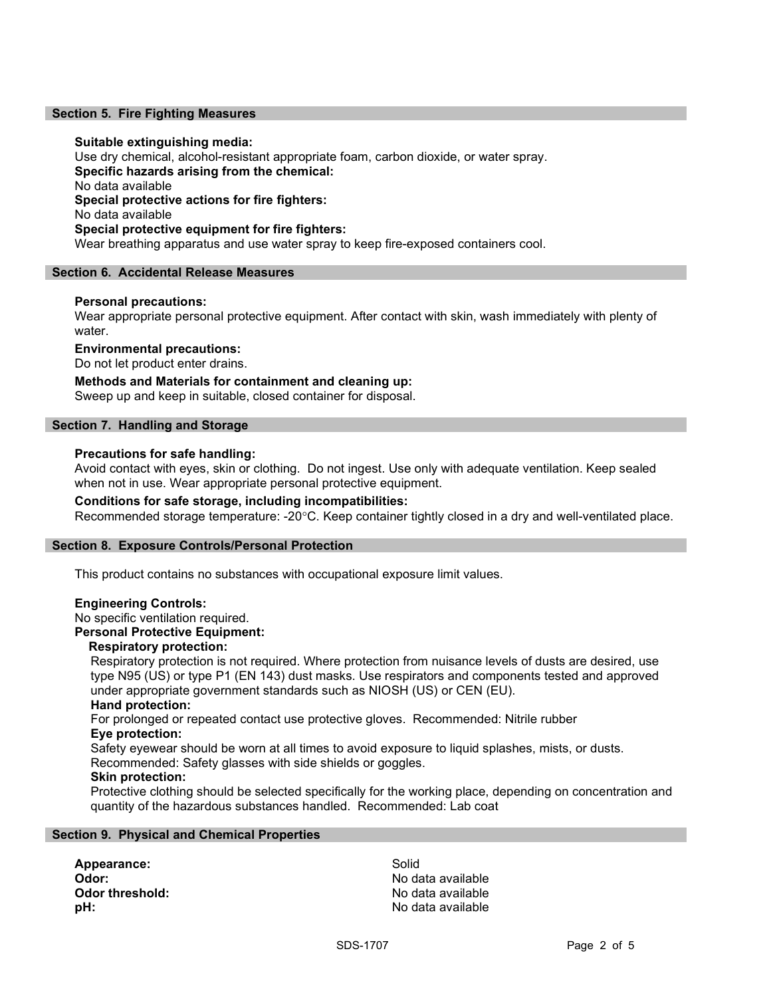## Section 5. Fire Fighting Measures

## Suitable extinguishing media:

Use dry chemical, alcohol-resistant appropriate foam, carbon dioxide, or water spray. Specific hazards arising from the chemical: No data available Special protective actions for fire fighters: No data available Special protective equipment for fire fighters: Wear breathing apparatus and use water spray to keep fire-exposed containers cool.

## Section 6. Accidental Release Measures

## Personal precautions:

Wear appropriate personal protective equipment. After contact with skin, wash immediately with plenty of water.

## Environmental precautions:

Do not let product enter drains.

Methods and Materials for containment and cleaning up: Sweep up and keep in suitable, closed container for disposal.

## Section 7. Handling and Storage

## Precautions for safe handling:

Avoid contact with eyes, skin or clothing. Do not ingest. Use only with adequate ventilation. Keep sealed when not in use. Wear appropriate personal protective equipment.

## Conditions for safe storage, including incompatibilities:

Recommended storage temperature: -20°C. Keep container tightly closed in a dry and well-ventilated place.

## Section 8. Exposure Controls/Personal Protection

This product contains no substances with occupational exposure limit values.

## Engineering Controls:

No specific ventilation required.

## Personal Protective Equipment:

## Respiratory protection:

Respiratory protection is not required. Where protection from nuisance levels of dusts are desired, use type N95 (US) or type P1 (EN 143) dust masks. Use respirators and components tested and approved under appropriate government standards such as NIOSH (US) or CEN (EU).

## Hand protection:

For prolonged or repeated contact use protective gloves. Recommended: Nitrile rubber Eye protection:

Safety eyewear should be worn at all times to avoid exposure to liquid splashes, mists, or dusts. Recommended: Safety glasses with side shields or goggles.

## Skin protection:

Protective clothing should be selected specifically for the working place, depending on concentration and quantity of the hazardous substances handled. Recommended: Lab coat

## Section 9. Physical and Chemical Properties

Appearance: Solid Odor: No data available **pH:**  $\blacksquare$ 

No data available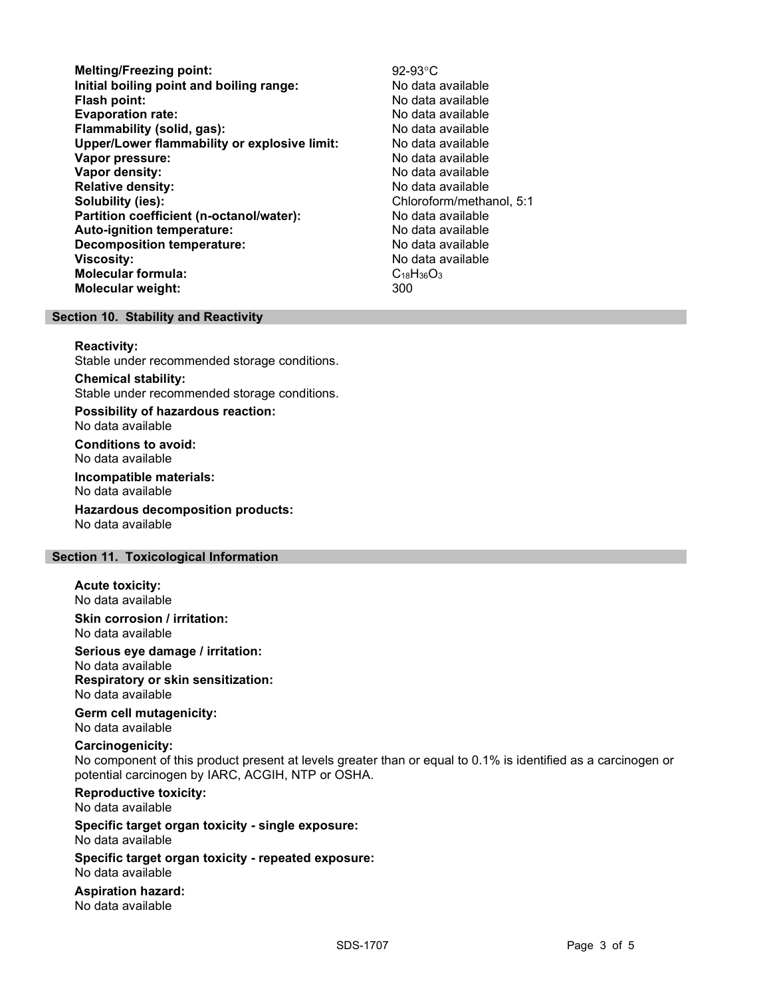- Melting/Freezing point:<br>
lnitial boiling point and boiling range:<br>
No data available Initial boiling point and boiling range: **Flash point:** No data available in the set of the set of the No data available in the set of the set of the set of the set of the set of the set of the set of the set of the set of the set of the set of the set of the set Evaporation rate: No data available Flammability (solid, gas): No data available Upper/Lower flammability or explosive limit: No data available Vapor pressure:  $\blacksquare$ Vapor density: No data available Relative density:<br>
Solubility (ies):<br>
Solubility (ies):<br>
No data available<br>
Chloroform/metha Partition coefficient (n-octanol/water): No data available Auto-ignition temperature: No data available Decomposition temperature: No data available **Viscosity:** No data available in the set of the set of the set of the set of the set of the set of the set of the set of the set of the set of the set of the set of the set of the set of the set of the set of the set of t Molecular formula: C<sub>18</sub>H<sub>36</sub>O<sub>3</sub> Molecular weight: 300
	- Chloroform/methanol, 5:1

## Section 10. Stability and Reactivity

#### Reactivity:

Stable under recommended storage conditions.

Chemical stability: Stable under recommended storage conditions.

Possibility of hazardous reaction: No data available

Conditions to avoid: No data available

Incompatible materials: No data available

Hazardous decomposition products: No data available

## Section 11. Toxicological Information

Acute toxicity: No data available

Skin corrosion / irritation: No data available

Serious eye damage / irritation: No data available

Respiratory or skin sensitization: No data available

Germ cell mutagenicity: No data available

## Carcinogenicity:

No component of this product present at levels greater than or equal to 0.1% is identified as a carcinogen or potential carcinogen by IARC, ACGIH, NTP or OSHA.

Reproductive toxicity:

No data available

Specific target organ toxicity - single exposure: No data available

Specific target organ toxicity - repeated exposure: No data available

Aspiration hazard: No data available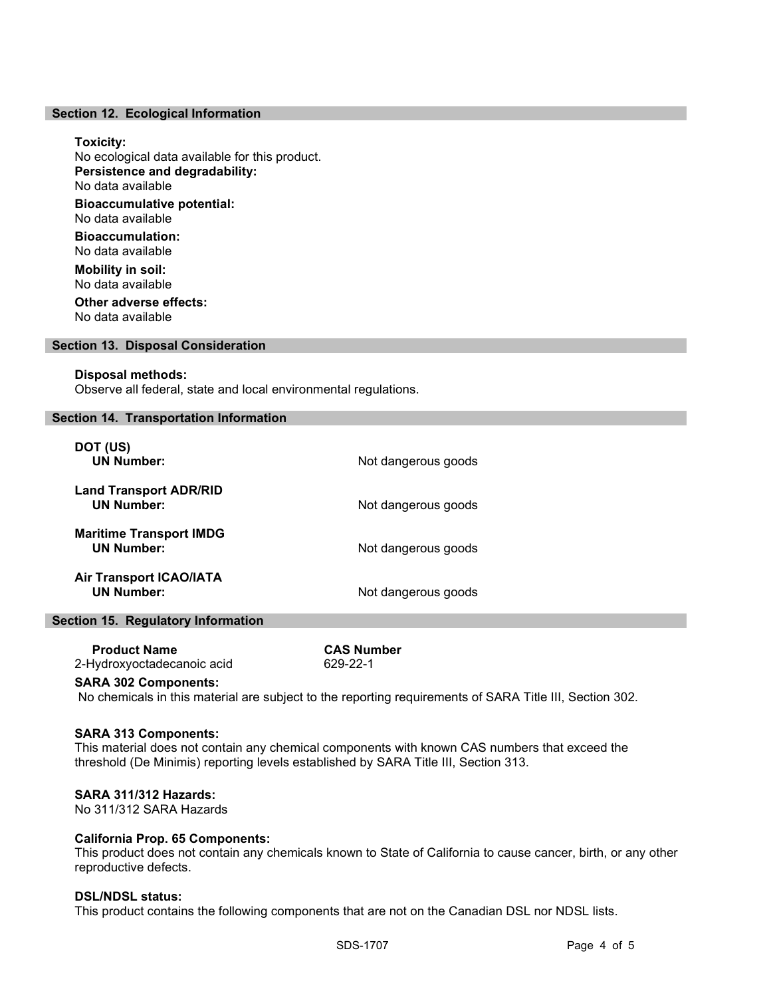## Section 12. Ecological Information

## Toxicity:

No ecological data available for this product. Persistence and degradability: No data available Bioaccumulative potential: No data available

Bioaccumulation: No data available

Mobility in soil: No data available Other adverse effects:

No data available

## Section 13. Disposal Consideration

#### Disposal methods:

Observe all federal, state and local environmental regulations.

#### Section 14. Transportation Information

| DOT (US)<br><b>UN Number:</b>                       | Not dangerous goods |
|-----------------------------------------------------|---------------------|
| <b>Land Transport ADR/RID</b><br><b>UN Number:</b>  | Not dangerous goods |
| <b>Maritime Transport IMDG</b><br><b>UN Number:</b> | Not dangerous goods |
| <b>Air Transport ICAO/IATA</b><br><b>UN Number:</b> | Not dangerous goods |

## Section 15. Regulatory Information

Product Name<br>
Hydroxvoctadecanoic acid<br>
Example 29-22-1 2-Hydroxyoctadecanoic acid

#### SARA 302 Components:

No chemicals in this material are subject to the reporting requirements of SARA Title III, Section 302.

## SARA 313 Components:

This material does not contain any chemical components with known CAS numbers that exceed the threshold (De Minimis) reporting levels established by SARA Title III, Section 313.

## SARA 311/312 Hazards:

No 311/312 SARA Hazards

## California Prop. 65 Components:

This product does not contain any chemicals known to State of California to cause cancer, birth, or any other reproductive defects.

#### DSL/NDSL status:

This product contains the following components that are not on the Canadian DSL nor NDSL lists.